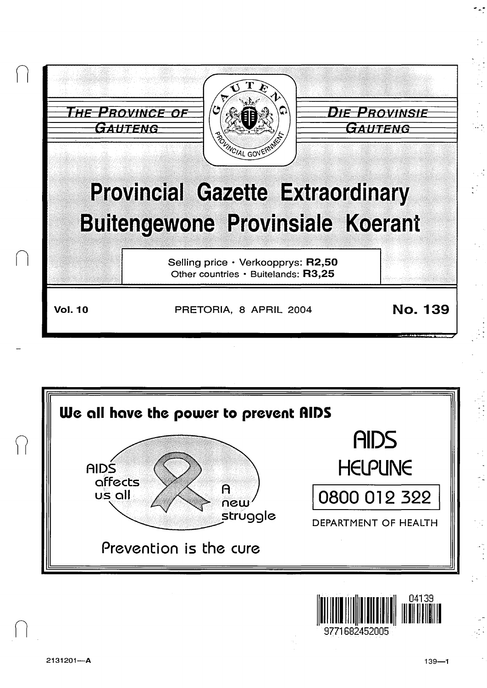|                | <b>POLINCIAL GOVERN</b>                                                            | <b>ROVINSIE</b><br><i>UTENG</i> |
|----------------|------------------------------------------------------------------------------------|---------------------------------|
|                | <b>Provincial Gazette Extraordinary</b><br><b>Buitengewone Provinsiale Koerant</b> |                                 |
|                | Selling price · Verkoopprys: R2,50<br>Other countries · Buitelands: R3,25          |                                 |
| <b>Vol. 10</b> | PRETORIA, 8 APRIL 2004                                                             | <b>No. 139</b>                  |





 $\bigcap$ 

 $\frac{1}{2}$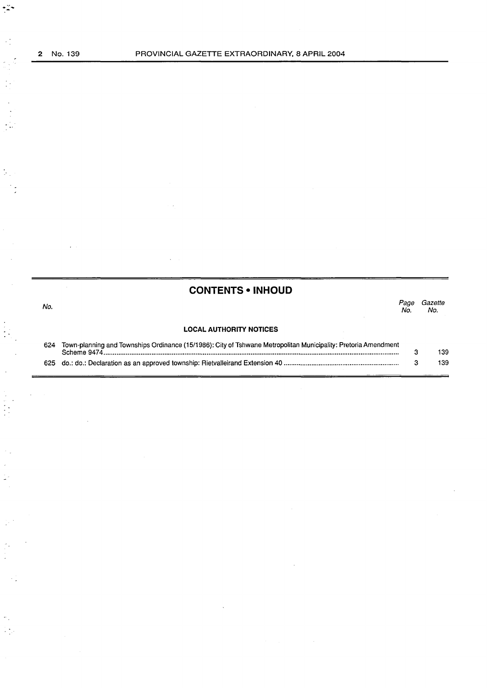$\ddot{\cdot}$ 

 $\mathbb{R}^3_+$ 

 $\begin{bmatrix} \frac{1}{2} & 0 \\ 0 & 0 \end{bmatrix}$ 

 $\frac{1}{2}$ 

 $\bar{\beta}$  $\frac{1}{2}$  $\frac{1}{2}$ 

 $\frac{1}{2}$  .

 $\begin{bmatrix} 1 \\ 1 \end{bmatrix}$ 

i. ÷,

 $\ddot{\phantom{a}}$ 

 $\gamma_{\rm g}$  $\frac{1}{2} \sum_{i=1}^n \frac{1}{2}$ 

# **CONTENTS • INHOUD**

| No. |                                                                                                                               | Page<br>No. | Gazette<br>No. |
|-----|-------------------------------------------------------------------------------------------------------------------------------|-------------|----------------|
|     | <b>LOCAL AUTHORITY NOTICES</b>                                                                                                |             |                |
| 624 | Town-planning and Townships Ordinance (15/1986): City of Tshwane Metropolitan Municipality: Pretoria Amendment<br>Scheme 9474 |             | 139            |
|     |                                                                                                                               |             | 139            |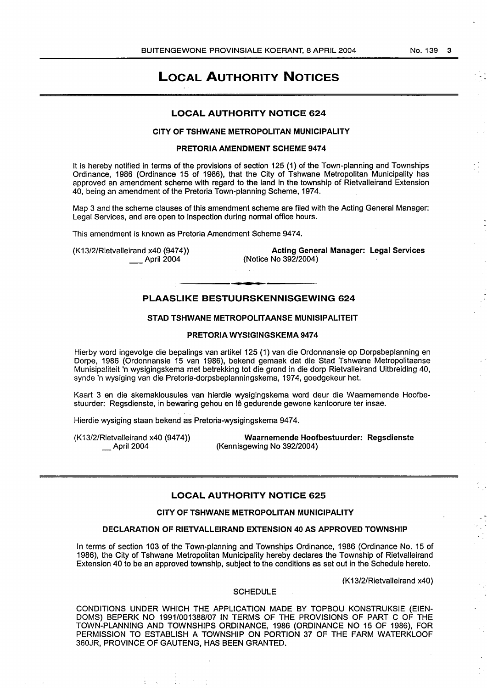#### No. 139 3

# LOCAL AUTHORITY NOTICES

# LOCAL AUTHORITY NOTICE 624

# CITY OF TSHWANE METROPOLITAN MUNICIPALITY

# PRETORIA AMENDMENT SCHEME 9474

It is hereby notified in terms of the provisions of section 125 (1) of the Town-planning and Townships Ordinance, 1986 (Ordinance 15 of 1986), that the City of Tshwane Metropolitan Municipality has approved an amendment scheme with regard to the land in the township of Rietvalleirand Extension 40, being an amendment of the Pretoria Town-planning Scheme, 1974.

Map 3 and the scheme clauses of this amendment scheme are filed with the Acting General Manager: Legal Services, and are open to inspection during normal office hours.

This amendment is known as Pretoria Amendment Scheme 9474.

(K13/2/Rietvalleirand x40 (9474)) April 2004

Acting General Manager: Legal Services (Notice No 392/2004)

# PLAASLIKE BESTUURSKENNISGEWING 624

# STAD TSHWANE METROPOLITAANSE MUNISIPALITEIT

## PRETORIA WYSIGINGSKEMA 9474

Hierby word ingevolge die bepalings van artikel 125 (1) van die Ordonnansie op Dorpsbeplanning en Dorpe, 1986 (Ordonnansie 15 van 1986), bekend gemaak dat die Stad Tshwane Metropolitaanse Munisipaliteit 'n wysigingskema met betrekking tot die grond in die dorp Rietvalleirand Uitbreiding 40, synde 'n wysiging van die Pretoria-dorpsbeplanningskema, 1974, goedgekeur het.

Kaart 3 en die skemaklousules van hierdie wysigingskema word deur die Waarnemende Hoofbestuurder: Regsdienste, in bewaring gehou en le gedurende gewone kantoorure ter insae.

Hierdie wysiging staan bekend as Pretoria-wysigingskema 9474.

÷.

÷

(K13/2/Rietvalleirand x40 (9474)) \_April2004

Waarnemende Hoofbestuurder: Regsdienste (Kennisgewing No 392/2004)

# LOCAL AUTHORITY NOTICE 625

#### CITY OF TSHWANE METROPOLITAN MUNICIPALITY

#### DECLARATION OF RIETVALLEIRAND EXTENSION 40 AS APPROVED TOWNSHIP

In terms of section 103 of the Town-planning and Townships Ordinance, 1986 (Ordinance No. 15 of 1986), the City of Tshwane Metropolitan Municipality hereby declares the Township of Rietvalleirand Extension 40 to be an approved township, subject to the conditions as set out in the Schedule hereto.

(K13/2/Rietvalleirand x40)

# SCHEDULE

CONDITIONS UNDER WHICH THE APPLICATION MADE BY TOPBOU KONSTRUKSIE (EIEN-DOMS) BEPERK NO 1991/001388/07 IN TERMS OF THE PROVISIONS OF PART C OF THE TOWN-PLANNING AND TOWNSHIPS ORDINANCE, 1986 (ORDINANCE NO 15 OF 1986), FOR PERMISSION TO ESTABLISH A TOWNSHIP ON PORTION 37 OF THE FARM WATERKLOOF 360JR, PROVINCE OF GAUTENG, HAS BEEN GRANTED.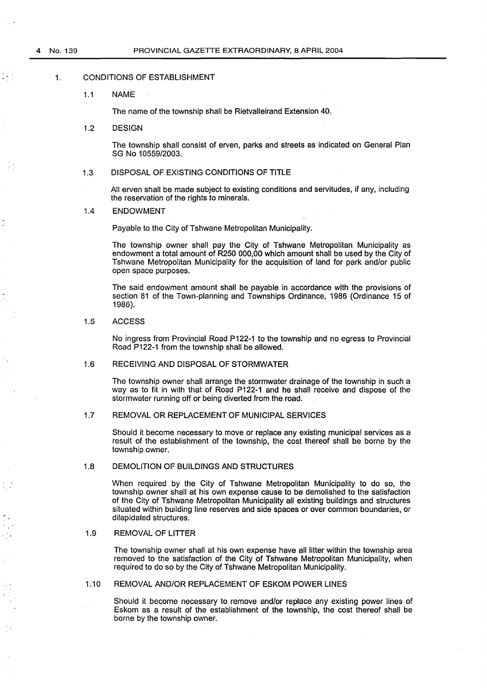# 1. CONDITIONS OF ESTABLISHMENT

#### 1.1 NAME

The name of the township shall be Rietvalleirand Extension 40.

#### 1.2 DESIGN

The township shall consist of erven, parks and streets as indicated on General Plan SG No 10559/2003.

#### 1.3 DISPOSAL OF EXISTING CONDITIONS OF TITLE

All erven shall be made subject to existing conditions and servitudes, if any, including the reservation of the rights to minerals.

#### 1.4 ENDOWMENT

Payable to the City of Tshwane Metropolitan Municipality.

The township owner shall pay the City of Tshwane Metropolitan Municipality as endowment a total amount of R250 000,00 which amount shall be used by the City of Tshwane Metropolitan Municipality for the acquisition of land for park and/or public open space purposes.

The said endowment amount shall be payable in accordance with the provisions of section 81 of the Town-planning and Townships Ordinance, 1986 (Ordinance 15 of 1986).

# 1.5 ACCESS

No ingress from Provincial Road P122-1 to the township and no egress to Provincial Road P122-1 from the township shall be allowed.

# 1.6 RECEIVING AND DISPOSAL OF STORMWATER

The township owner shall arrange the stormwater drainage of the township in such a way as to fit in with that of Road P122-1 and he shall receive and dispose of the stormwater running off or being diverted from the road.

# 1.7 REMOVAL OR REPLACEMENT OF MUNICIPAL SERVICES

Should it become necessary to move or replace any existing municipal services as a result of the establishment of the township, the cost thereof shall be borne by the township owner.

#### 1.8 DEMOLITION OF BUILDINGS AND STRUCTURES

When required by the City of Tshwane Metropolitan Municipality to do so, the township owner shall at his own expense cause to be demolished to the satisfaction of the City of Tshwane Metropolitan Municipality all existing buildings and structures situated within building line reserves and side spaces or over common boundaries, or dilapidated structures.

# 1.9 REMOVAL OF LITTER

The township owner shall at his own expense have all litter within the township area removed to the satisfaction of the City of Tshwane Metropolitan Municipality, when required to do so by the City of Tshwane Metropolitan Municipality.

#### 1.10 REMOVAL AND/OR REPLACEMENT OF ESKOM POWER LINES

Should it become necessary to remove and/or replace any existing power lines of Eskom as a result of the establishment of the township, the cost thereof shall be borne by the township owner.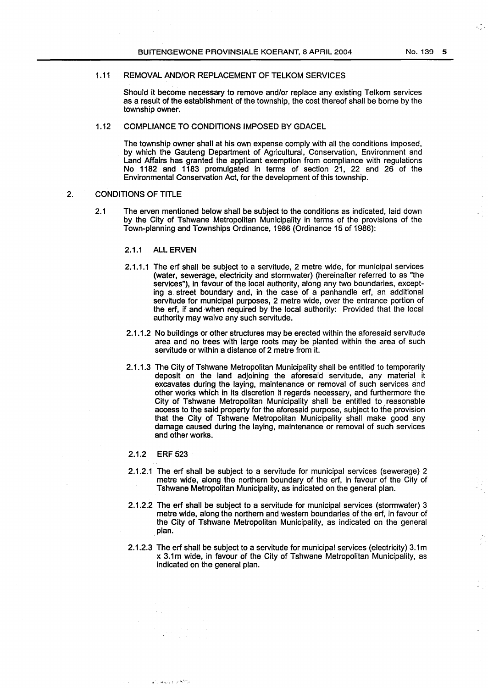# 1.11 REMOVAL AND/OR REPLACEMENT OF TELKOM SERVICES

Should it become necessary to remove and/or replace any existing Telkom services as a result of the establishment of the township, the cost thereof shall be borne by the township owner.

# 1.12 COMPLIANCE TO CONDITIONS IMPOSED BY GDACEL

The township owner shall at his own expense comply with all the conditions imposed, by which the Gauteng Department of Agricultural, Conservation, Environment and Land Affairs has granted the applicant exemption from compliance with regulations No 1182 and 1183 promulgated in terms of section 21, 22 and 26 of the Environmental Conservation Act, for the development of this township.

#### 2. CONDITIONS OF TITLE

2.1 The erven mentioned below shall be subject to the conditions as indicated, laid down by the City of Tshwane Metropolitan Municipality in terms of the provisions of the Town-planning and Townships Ordinance, 1986 (Ordinance 15 of 1986):

# 2.1.1 ALL ERVEN

- 2.1.1.1 The erf shall be subject to a servitude, 2 metre wide, for municipal services (water, sewerage, electricity and stormwater) (hereinafter referred to as "the services"), in favour of the local authority, along any two boundaries, excepting a street boundary and, in the case of a panhandle erf, an additional servitude for municipal purposes, 2 metre wide, over the entrance portion of the erf, if and when required by the local authority: Provided that the local authority may waive any such servitude.
- 2.1.1.2 No buildings or other structures may be erected within the aforesaid servitude area and no trees with large roots may be planted within the area of such servitude or within a distance of 2 metre from it.
- 2.1.1.3 The City of Tshwane Metropolitan Municipality shall be entitled to temporarily deposit on the land adjoining the aforesaid servitude, any material it excavates during the laying, maintenance or removal of such services and other works which in its discretion it regards necessary, and furthermore the City of Tshwane Metropolitan Municipality shall be entitled to reasonable access to the said property for the aforesaid purpose, subject to the provision that the City of Tshwane Metropolitan Municipality shall make good any damage caused during the laying, maintenance or removal of such services and other works.

# 2.1.2 ERF 523

مراقط ويتهابونها

- 2.1.2.1 The erf shall be subject to a servitude for municipal services (sewerage) 2 metre wide, along the northern boundary of the erf, in favour of the City of Tshwane Metropolitan Municipality, as indicated on the general plan.
- 2.1.2.2 The erf shall be subject to a servitude for municipal services (stormwater) 3 metre wide, along the northern and western boundaries of the erf, in favour of the City of Tshwane Metropolitan Municipality, as indicated on the general plan.
- 2.1.2.3 The erf shall be subject to a servitude for municipal services (electricity) 3.1 m x 3.1m wide, in favour of the City of Tshwane Metropolitan Municipality, as indicated on the general plan.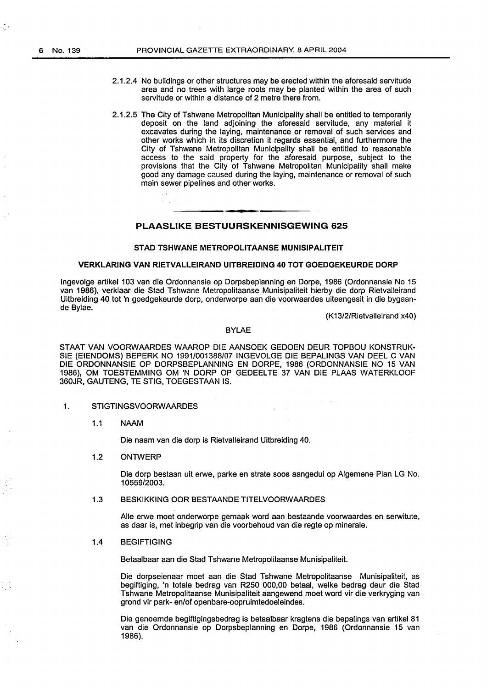- 2.1.2.4 No buildings or other structures may be erected within the aforesaid servitude area and no trees with large roots may be planted within the area of such servitude or within a distance of 2 metre there from.
- 2.1.2.5 The City of Tshwane Metropolitan Municipality shall be entitled to temporarily deposit on the land adjoining the aforesaid servitude, any material it excavates during the laying, maintenance or removal of such services and other works which in its discretion it regards essential, and furthermore the City of Tshwane Metropolitan Municipality shall be entitled to reasonable access to the said property for the aforesaid purpose, subject to the provisions that the City of Tshwane Metropolitan Municipality shall make good any damage caused during the laying, maintenance or removal of such main sewer pipelines and other works.

# PLAASLIKE BESTUURSKENNISGEWING 625

#### STAD TSHWANE METROPOLITAANSE MUNISIPALITEIT

# VERKLARING VAN RIETVALLEIRAND UITBREIDING 40 TOT GOEDGEKEURDE DORP

lngevolge artikel 103 van die Ordonnansie op Dorpsbeplanning en Dorpe, 1986 {Ordonnansie No 15 van 1986), verklaar die Stad Tshwane Metropolitaanse Munisipaliteit hierby die dorp Rietvalleirand Uitbreiding 40 tot 'n goedgekeurde dorp, onderworpe aan die voorwaardes uiteengesit in die bygaande Bylae.

{K13/2/Rietvalleirand x40)

#### BYLAE

STAAT VAN VOORWAARDES WAAROP DIE AANSOEK GEDOEN DEUR TOPBOU KONSTRUK-SIE {EIENDOMS) BEPERK NO 1991/001388/07 INGEVOLGE DIE BEPALINGS VAN DEEL C VAN DIE ORDONNANSIE OP DORPSBEPLANNING EN DORPE, 1986 {ORDONNANSIE NO 15 VAN 1986), OM TOESTEMMING OM 'N DORP OP GEDEELTE 37 VAN DIE PLAAS WATERKLOOF 360JR, GAUTENG, TE STIG, TOEGESTAAN IS.

1. STIGTINGSVOORWAARDES

#### 1.1 NAAM

Die naam van die dorp is Rietvalleirand Uitbreiding 40.

1.2 ONTWERP

Die dorp bestaan uit erwe, parke en strate soos aangedui op Algemene Plan LG No. 10559/2003.

1.3 BESKIKKING OOR BESTAANDE TITELVOORWAARDES

Aile erwe moet onderworpe gemaak word aan bestaande voorwaardes en serwitute, as daar is, met inbegrip van die voorbehoud van die regte op minerale.

#### 1.4 BEGIFTIGING

Betaalbaar aan die Stad Tshwane Metropolitaanse Munisipaliteit.

Die dorpseienaar moet aan die Stad Tshwane Metropolitaanse Munisipaliteit, as begiftiging, 'n totale bedrag van R250 000,00 betaal, welke bedrag deur die Stad Tshwane Metropolitaanse Munisipaliteit aangewend moet word vir die verkryging van grond vir park- en/of openbare-oopruimtedoeleindes.

Die genoemde begiftigingsbedrag is betaalbaar kragtens die bepalings van artikel 81 van die Ordonnansie op Dorpsbeplanning en Dorpe, 1986 {Ordonnansie 15 van 1986).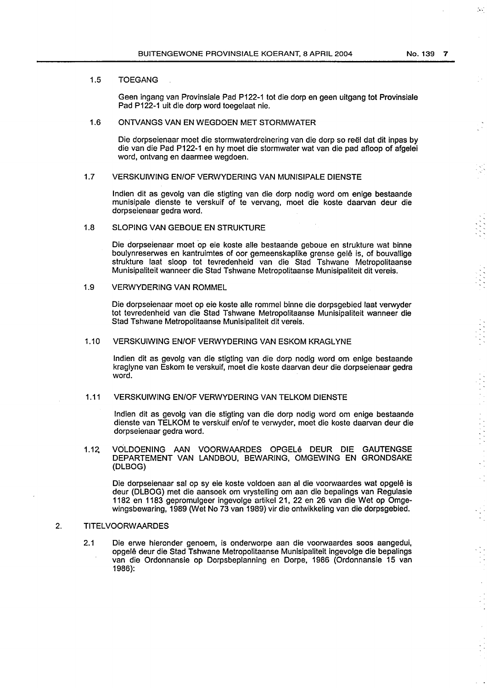#### 1.5 TOEGANG

Geen ingang van Provinsiale Pad P122-1 tot die dorp en geen uitgang tot Provinsiale Pad P122-1 uit die dorp word toegelaat nie.

# 1.6 ONTVANGS VAN EN WEGDOEN MET STORMWATER

Die dorpseienaar moet die stormwaterdreinering van die dorp so reel dat dit inpas by die van die Pad P122-1 en hy moet die stormwater wat van die pad afloop of afgelei word, ontvang en daarmee wegdoen.

#### 1.7 VERSKUIWING EN/OFVERWYDERING VAN MUNISIPALE DIENSTE

lndien dit as gevolg van die stigting van die dorp nodig word om enige bestaande munisipale dienste te verskuif of te vervang, moet die koste daarvan deur die dorpseienaar gedra word.

#### 1.8 SLOPING VAN GEBOUE EN STRUKTURE

Die dorpseienaar moet op eie koste aile bestaande geboue en strukture wat binne boulynreserwes en kantruimtes of oor gemeenskaplike grense gelê is, of bouvallige strukture laat sloop tot tevredenheid van die Stad Tshwane Metropolitaanse Munisipaliteit wanneer die Stad Tshwane Metropolitaanse Munisipaliteit dit vereis.

# 1.9 VERWYDERING VAN ROMMEL

Die dorpseienaar moet op eie koste aile rommel binne die dorpsgebied laat verwyder tot tevredenheid van die Stad Tshwane Metropolitaanse Munisipaliteit wanneer die Stad Tshwane Metropolitaanse Munisipaliteit dit vereis.

# 1.10 VERSKUIWING EN/OF VERWYDERING VAN ESKOM KRAGLYNE

lndien dit as gevolg van die stigting van die dorp nodig word om enige bestaande kraglyne van Eskom te verskuif, moet die koste daarvan deur die dorpseienaar gedra word.

# 1.11 VERSKUIWING EN/OF VERWYDERING VAN TELKOM DIENSTE

lndien dit as gevolg van die stigting van die dorp nodig word om enige bestaande dienste van TELKOM te verskuif en/of te verwyder, moet die koste daarvan deur die dorpseienaar gedra word.

1.12 VOLDOENING AAN VOORWAARDES OPGELe DEUR DIE GAUTENGSE DEPARTEMENT VAN LANDBOU, BEWARING, OMGEWING EN GRONDSAKE {DLBOG)

Die dorpseienaar sal op sy eie koste voldoen aan al die voorwaardes wat opgele is deur (DLBOG) met die aansoek om vrystelling om aan die bepalings van Regulasie 1182 en 1183 gepromulgeer ingevolge artikel 21, 22 en 26 van die Wet op Omgewingsbewaring, 1989 {Wet No 73 van 1989} vir die ontwikkeling van die dorpsgebied.

# 2. TITELVOORWAARDES

2.1 Die erwe hieronder genoem, is onderworpe aan die voorwaardes soos aangedui, opgele deur die Stad Tshwane Metropolitaanse Munisipaliteit ingevolge die bepalings van die Ordonnansie op Dorpsbeplanning en Dorpe, 1986 (Ordonnansie 15 van 1986):

 $\sim$ 

 $\bar{\beta}$